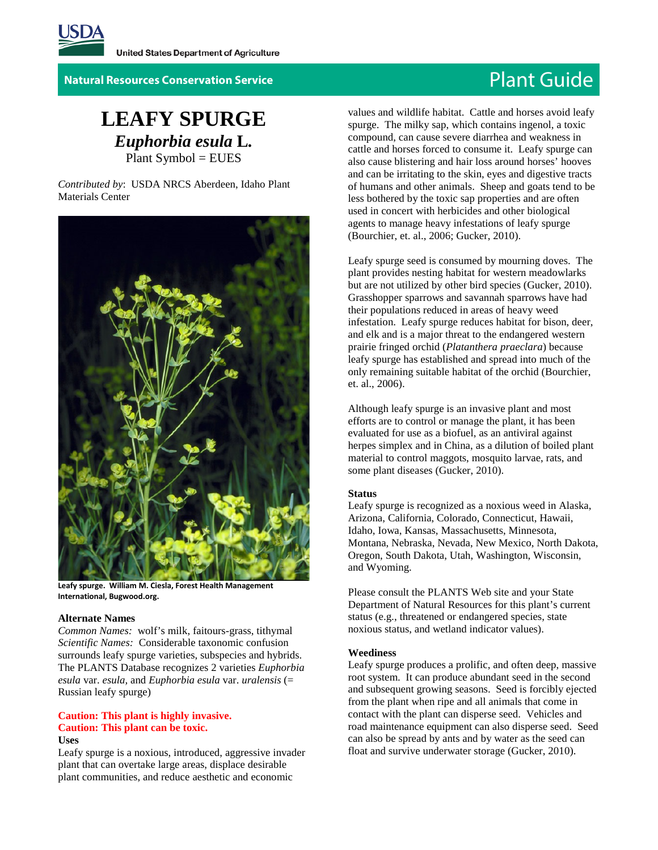

**Natural Resources Conservation Service Plant Guide** 

# **LEAFY SPURGE** *Euphorbia esula* **L***.* Plant Symbol = EUES

*Contributed by*: USDA NRCS Aberdeen, Idaho Plant Materials Center



**Leafy spurge. William M. Ciesla, Forest Health Management International, Bugwood.org.**

#### **Alternate Names**

*Common Names:* wolf's milk, faitours-grass, tithymal *Scientific Names:* Considerable taxonomic confusion surrounds leafy spurge varieties, subspecies and hybrids. The PLANTS Database recognizes 2 varieties *Euphorbia esula* var. *esula,* and *Euphorbia esula* var. *uralensis* (= Russian leafy spurge)

# **Caution: This plant is highly invasive. Caution: This plant can be toxic. Uses**

Leafy spurge is a noxious, introduced, aggressive invader plant that can overtake large areas, displace desirable plant communities, and reduce aesthetic and economic

values and wildlife habitat. Cattle and horses avoid leafy spurge. The milky sap, which contains ingenol, a toxic compound, can cause severe diarrhea and weakness in cattle and horses forced to consume it. Leafy spurge can also cause blistering and hair loss around horses' hooves and can be irritating to the skin, eyes and digestive tracts of humans and other animals. Sheep and goats tend to be less bothered by the toxic sap properties and are often used in concert with herbicides and other biological agents to manage heavy infestations of leafy spurge (Bourchier, et. al., 2006; Gucker, 2010).

Leafy spurge seed is consumed by mourning doves. The plant provides nesting habitat for western meadowlarks but are not utilized by other bird species (Gucker, 2010). Grasshopper sparrows and savannah sparrows have had their populations reduced in areas of heavy weed infestation. Leafy spurge reduces habitat for bison, deer, and elk and is a major threat to the endangered western prairie fringed orchid (*Platanthera praeclara*) because leafy spurge has established and spread into much of the only remaining suitable habitat of the orchid (Bourchier, et. al., 2006).

Although leafy spurge is an invasive plant and most efforts are to control or manage the plant, it has been evaluated for use as a biofuel, as an antiviral against herpes simplex and in China, as a dilution of boiled plant material to control maggots, mosquito larvae, rats, and some plant diseases (Gucker, 2010).

# **Status**

Leafy spurge is recognized as a noxious weed in Alaska, Arizona, California, Colorado, Connecticut, Hawaii, Idaho, Iowa, Kansas, Massachusetts, Minnesota, Montana, Nebraska, Nevada, New Mexico, North Dakota, Oregon, South Dakota, Utah, Washington, Wisconsin, and Wyoming.

Please consult the PLANTS Web site and your State Department of Natural Resources for this plant's current status (e.g., threatened or endangered species, state noxious status, and wetland indicator values).

### **Weediness**

Leafy spurge produces a prolific, and often deep, massive root system. It can produce abundant seed in the second and subsequent growing seasons. Seed is forcibly ejected from the plant when ripe and all animals that come in contact with the plant can disperse seed. Vehicles and road maintenance equipment can also disperse seed. Seed can also be spread by ants and by water as the seed can float and survive underwater storage (Gucker, 2010).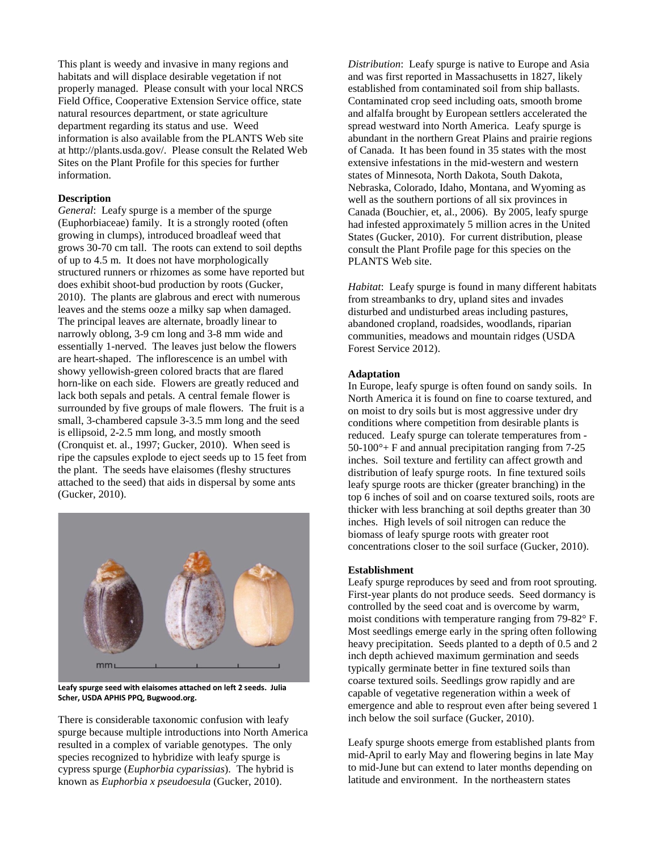This plant is weedy and invasive in many regions and habitats and will displace desirable vegetation if not properly managed. Please consult with your local NRCS Field Office, Cooperative Extension Service office, state natural resources department, or state agriculture department regarding its status and use. Weed information is also available from the PLANTS Web site at http://plants.usda.gov/. Please consult the Related Web Sites on the Plant Profile for this species for further information.

# **Description**

*General*: Leafy spurge is a member of the spurge (Euphorbiaceae) family. It is a strongly rooted (often growing in clumps), introduced broadleaf weed that grows 30-70 cm tall. The roots can extend to soil depths of up to 4.5 m. It does not have morphologically structured runners or rhizomes as some have reported but does exhibit shoot-bud production by roots (Gucker, 2010). The plants are glabrous and erect with numerous leaves and the stems ooze a milky sap when damaged. The principal leaves are alternate, broadly linear to narrowly oblong, 3-9 cm long and 3-8 mm wide and essentially 1-nerved. The leaves just below the flowers are heart-shaped. The inflorescence is an umbel with showy yellowish-green colored bracts that are flared horn-like on each side. Flowers are greatly reduced and lack both sepals and petals. A central female flower is surrounded by five groups of male flowers. The fruit is a small, 3-chambered capsule 3-3.5 mm long and the seed is ellipsoid, 2-2.5 mm long, and mostly smooth (Cronquist et. al., 1997; Gucker, 2010). When seed is ripe the capsules explode to eject seeds up to 15 feet from the plant. The seeds have elaisomes (fleshy structures attached to the seed) that aids in dispersal by some ants (Gucker, 2010).



**Leafy spurge seed with elaisomes attached on left 2 seeds. Julia Scher, USDA APHIS PPQ, Bugwood.org.**

There is considerable taxonomic confusion with leafy spurge because multiple introductions into North America resulted in a complex of variable genotypes. The only species recognized to hybridize with leafy spurge is cypress spurge (*Euphorbia cyparissias*). The hybrid is known as *Euphorbia x pseudoesula* (Gucker, 2010).

*Distribution*: Leafy spurge is native to Europe and Asia and was first reported in Massachusetts in 1827, likely established from contaminated soil from ship ballasts. Contaminated crop seed including oats, smooth brome and alfalfa brought by European settlers accelerated the spread westward into North America. Leafy spurge is abundant in the northern Great Plains and prairie regions of Canada. It has been found in 35 states with the most extensive infestations in the mid-western and western states of Minnesota, North Dakota, South Dakota, Nebraska, Colorado, Idaho, Montana, and Wyoming as well as the southern portions of all six provinces in Canada (Bouchier, et, al., 2006). By 2005, leafy spurge had infested approximately 5 million acres in the United States (Gucker, 2010). For current distribution, please consult the Plant Profile page for this species on the PLANTS Web site.

*Habitat*: Leafy spurge is found in many different habitats from streambanks to dry, upland sites and invades disturbed and undisturbed areas including pastures, abandoned cropland, roadsides, woodlands, riparian communities, meadows and mountain ridges (USDA Forest Service 2012).

# **Adaptation**

In Europe, leafy spurge is often found on sandy soils. In North America it is found on fine to coarse textured, and on moist to dry soils but is most aggressive under dry conditions where competition from desirable plants is reduced. Leafy spurge can tolerate temperatures from -  $50-100^\circ$ + F and annual precipitation ranging from 7-25 inches. Soil texture and fertility can affect growth and distribution of leafy spurge roots. In fine textured soils leafy spurge roots are thicker (greater branching) in the top 6 inches of soil and on coarse textured soils, roots are thicker with less branching at soil depths greater than 30 inches. High levels of soil nitrogen can reduce the biomass of leafy spurge roots with greater root concentrations closer to the soil surface (Gucker, 2010).

#### **Establishment**

Leafy spurge reproduces by seed and from root sprouting. First-year plants do not produce seeds. Seed dormancy is controlled by the seed coat and is overcome by warm, moist conditions with temperature ranging from 79-82° F. Most seedlings emerge early in the spring often following heavy precipitation. Seeds planted to a depth of 0.5 and 2 inch depth achieved maximum germination and seeds typically germinate better in fine textured soils than coarse textured soils. Seedlings grow rapidly and are capable of vegetative regeneration within a week of emergence and able to resprout even after being severed 1 inch below the soil surface (Gucker, 2010).

Leafy spurge shoots emerge from established plants from mid-April to early May and flowering begins in late May to mid-June but can extend to later months depending on latitude and environment. In the northeastern states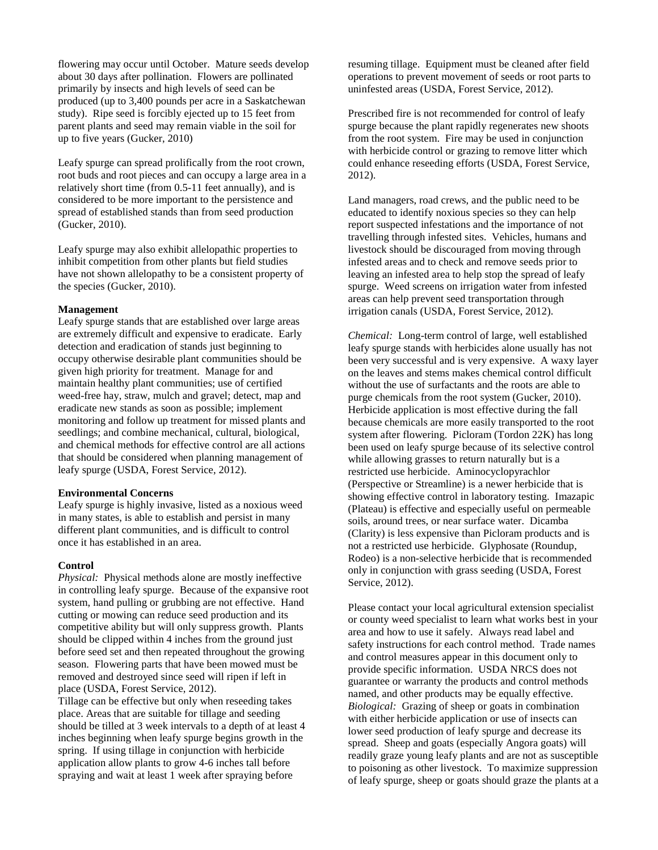flowering may occur until October. Mature seeds develop about 30 days after pollination. Flowers are pollinated primarily by insects and high levels of seed can be produced (up to 3,400 pounds per acre in a Saskatchewan study). Ripe seed is forcibly ejected up to 15 feet from parent plants and seed may remain viable in the soil for up to five years (Gucker, 2010)

Leafy spurge can spread prolifically from the root crown, root buds and root pieces and can occupy a large area in a relatively short time (from 0.5-11 feet annually), and is considered to be more important to the persistence and spread of established stands than from seed production (Gucker, 2010).

Leafy spurge may also exhibit allelopathic properties to inhibit competition from other plants but field studies have not shown allelopathy to be a consistent property of the species (Gucker, 2010).

# **Management**

Leafy spurge stands that are established over large areas are extremely difficult and expensive to eradicate. Early detection and eradication of stands just beginning to occupy otherwise desirable plant communities should be given high priority for treatment. Manage for and maintain healthy plant communities; use of certified weed-free hay, straw, mulch and gravel; detect, map and eradicate new stands as soon as possible; implement monitoring and follow up treatment for missed plants and seedlings; and combine mechanical, cultural, biological, and chemical methods for effective control are all actions that should be considered when planning management of leafy spurge (USDA, Forest Service, 2012).

#### **Environmental Concerns**

Leafy spurge is highly invasive, listed as a noxious weed in many states, is able to establish and persist in many different plant communities, and is difficult to control once it has established in an area.

# **Control**

*Physical:* Physical methods alone are mostly ineffective in controlling leafy spurge. Because of the expansive root system, hand pulling or grubbing are not effective. Hand cutting or mowing can reduce seed production and its competitive ability but will only suppress growth. Plants should be clipped within 4 inches from the ground just before seed set and then repeated throughout the growing season. Flowering parts that have been mowed must be removed and destroyed since seed will ripen if left in place (USDA, Forest Service, 2012).

Tillage can be effective but only when reseeding takes place. Areas that are suitable for tillage and seeding should be tilled at 3 week intervals to a depth of at least 4 inches beginning when leafy spurge begins growth in the spring. If using tillage in conjunction with herbicide application allow plants to grow 4-6 inches tall before spraying and wait at least 1 week after spraying before

resuming tillage. Equipment must be cleaned after field operations to prevent movement of seeds or root parts to uninfested areas (USDA, Forest Service, 2012).

Prescribed fire is not recommended for control of leafy spurge because the plant rapidly regenerates new shoots from the root system. Fire may be used in conjunction with herbicide control or grazing to remove litter which could enhance reseeding efforts (USDA, Forest Service, 2012).

Land managers, road crews, and the public need to be educated to identify noxious species so they can help report suspected infestations and the importance of not travelling through infested sites. Vehicles, humans and livestock should be discouraged from moving through infested areas and to check and remove seeds prior to leaving an infested area to help stop the spread of leafy spurge. Weed screens on irrigation water from infested areas can help prevent seed transportation through irrigation canals (USDA, Forest Service, 2012).

*Chemical:* Long-term control of large, well established leafy spurge stands with herbicides alone usually has not been very successful and is very expensive. A waxy layer on the leaves and stems makes chemical control difficult without the use of surfactants and the roots are able to purge chemicals from the root system (Gucker, 2010). Herbicide application is most effective during the fall because chemicals are more easily transported to the root system after flowering. Picloram (Tordon 22K) has long been used on leafy spurge because of its selective control while allowing grasses to return naturally but is a restricted use herbicide. Aminocyclopyrachlor (Perspective or Streamline) is a newer herbicide that is showing effective control in laboratory testing. Imazapic (Plateau) is effective and especially useful on permeable soils, around trees, or near surface water. Dicamba (Clarity) is less expensive than Picloram products and is not a restricted use herbicide. Glyphosate (Roundup, Rodeo) is a non-selective herbicide that is recommended only in conjunction with grass seeding (USDA, Forest Service, 2012).

Please contact your local agricultural extension specialist or county weed specialist to learn what works best in your area and how to use it safely. Always read label and safety instructions for each control method. Trade names and control measures appear in this document only to provide specific information. USDA NRCS does not guarantee or warranty the products and control methods named, and other products may be equally effective. *Biological:* Grazing of sheep or goats in combination with either herbicide application or use of insects can lower seed production of leafy spurge and decrease its spread. Sheep and goats (especially Angora goats) will readily graze young leafy plants and are not as susceptible to poisoning as other livestock. To maximize suppression of leafy spurge, sheep or goats should graze the plants at a